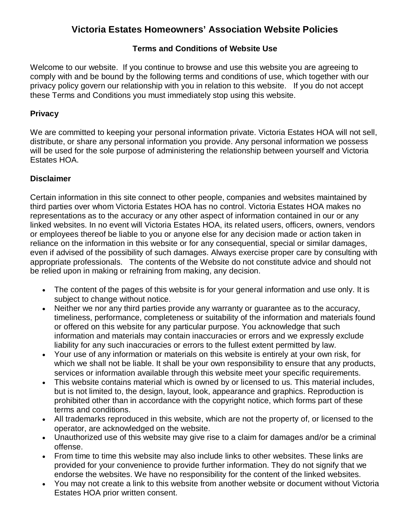# **Victoria Estates Homeowners' Association Website Policies**

# **Terms and Conditions of Website Use**

Welcome to our website. If you continue to browse and use this website you are agreeing to comply with and be bound by the following terms and conditions of use, which together with our privacy policy govern our relationship with you in relation to this website. If you do not accept these Terms and Conditions you must immediately stop using this website.

#### **Privacy**

We are committed to keeping your personal information private. Victoria Estates HOA will not sell, distribute, or share any personal information you provide. Any personal information we possess will be used for the sole purpose of administering the relationship between yourself and Victoria Estates HOA.

## **Disclaimer**

Certain information in this site connect to other people, companies and websites maintained by third parties over whom Victoria Estates HOA has no control. Victoria Estates HOA makes no representations as to the accuracy or any other aspect of information contained in our or any linked websites. In no event will Victoria Estates HOA, its related users, officers, owners, vendors or employees thereof be liable to you or anyone else for any decision made or action taken in reliance on the information in this website or for any consequential, special or similar damages, even if advised of the possibility of such damages. Always exercise proper care by consulting with appropriate professionals. The contents of the Website do not constitute advice and should not be relied upon in making or refraining from making, any decision.

- The content of the pages of this website is for your general information and use only. It is subject to change without notice.
- Neither we nor any third parties provide any warranty or guarantee as to the accuracy, timeliness, performance, completeness or suitability of the information and materials found or offered on this website for any particular purpose. You acknowledge that such information and materials may contain inaccuracies or errors and we expressly exclude liability for any such inaccuracies or errors to the fullest extent permitted by law.
- Your use of any information or materials on this website is entirely at your own risk, for which we shall not be liable. It shall be your own responsibility to ensure that any products, services or information available through this website meet your specific requirements.
- This website contains material which is owned by or licensed to us. This material includes, but is not limited to, the design, layout, look, appearance and graphics. Reproduction is prohibited other than in accordance with the copyright notice, which forms part of these terms and conditions.
- All trademarks reproduced in this website, which are not the property of, or licensed to the operator, are acknowledged on the website.
- Unauthorized use of this website may give rise to a claim for damages and/or be a criminal offense.
- From time to time this website may also include links to other websites. These links are provided for your convenience to provide further information. They do not signify that we endorse the websites. We have no responsibility for the content of the linked websites.
- You may not create a link to this website from another website or document without Victoria Estates HOA prior written consent.